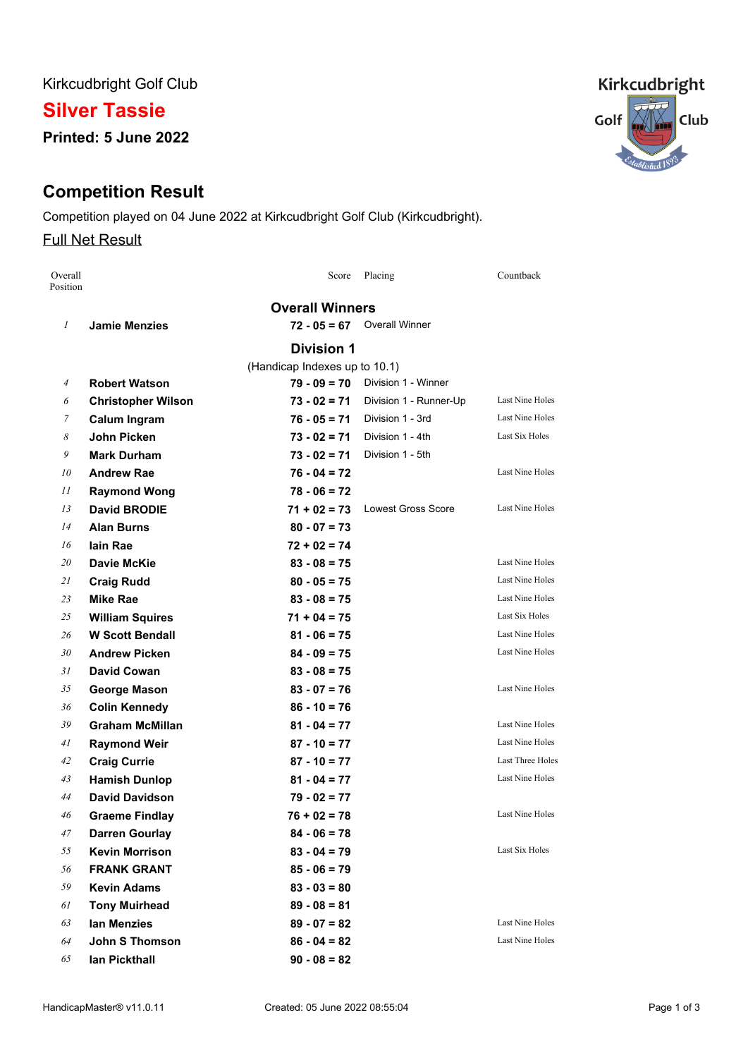Kirkcudbright Golf Club

# **Silver Tassie**

**Printed: 5 June 2022**

# **Competition Result**

Competition played on 04 June 2022 at Kirkcudbright Golf Club (Kirkcudbright).

### Full Net Result

| Overall<br>Position |                           | Score                         | Placing                   | Countback               |
|---------------------|---------------------------|-------------------------------|---------------------------|-------------------------|
|                     |                           | <b>Overall Winners</b>        |                           |                         |
| 1                   | <b>Jamie Menzies</b>      | $72 - 05 = 67$                | <b>Overall Winner</b>     |                         |
|                     |                           | <b>Division 1</b>             |                           |                         |
|                     |                           | (Handicap Indexes up to 10.1) |                           |                         |
| $\overline{4}$      | <b>Robert Watson</b>      | $79 - 09 = 70$                | Division 1 - Winner       |                         |
| 6                   | <b>Christopher Wilson</b> | $73 - 02 = 71$                | Division 1 - Runner-Up    | Last Nine Holes         |
| 7                   | <b>Calum Ingram</b>       | $76 - 05 = 71$                | Division 1 - 3rd          | Last Nine Holes         |
| 8                   | <b>John Picken</b>        | $73 - 02 = 71$                | Division 1 - 4th          | Last Six Holes          |
| 9                   | <b>Mark Durham</b>        | $73 - 02 = 71$                | Division 1 - 5th          |                         |
| 10                  | <b>Andrew Rae</b>         | $76 - 04 = 72$                |                           | Last Nine Holes         |
| 11                  | <b>Raymond Wong</b>       | $78 - 06 = 72$                |                           |                         |
| 13                  | <b>David BRODIE</b>       | $71 + 02 = 73$                | <b>Lowest Gross Score</b> | Last Nine Holes         |
| 14                  | <b>Alan Burns</b>         | $80 - 07 = 73$                |                           |                         |
| 16                  | lain Rae                  | $72 + 02 = 74$                |                           |                         |
| 20                  | Davie McKie               | $83 - 08 = 75$                |                           | Last Nine Holes         |
| 21                  | <b>Craig Rudd</b>         | $80 - 05 = 75$                |                           | Last Nine Holes         |
| 23                  | Mike Rae                  | $83 - 08 = 75$                |                           | Last Nine Holes         |
| 25                  | <b>William Squires</b>    | $71 + 04 = 75$                |                           | Last Six Holes          |
| 26                  | <b>W Scott Bendall</b>    | $81 - 06 = 75$                |                           | Last Nine Holes         |
| 30                  | <b>Andrew Picken</b>      | $84 - 09 = 75$                |                           | Last Nine Holes         |
| 31                  | <b>David Cowan</b>        | $83 - 08 = 75$                |                           |                         |
| 35                  | George Mason              | $83 - 07 = 76$                |                           | Last Nine Holes         |
| 36                  | <b>Colin Kennedy</b>      | $86 - 10 = 76$                |                           |                         |
| 39                  | <b>Graham McMillan</b>    | $81 - 04 = 77$                |                           | Last Nine Holes         |
| 41                  | <b>Raymond Weir</b>       | $87 - 10 = 77$                |                           | Last Nine Holes         |
| 42                  | <b>Craig Currie</b>       | $87 - 10 = 77$                |                           | <b>Last Three Holes</b> |
| 43                  | <b>Hamish Dunlop</b>      | $81 - 04 = 77$                |                           | Last Nine Holes         |
| 44                  | <b>David Davidson</b>     | $79 - 02 = 77$                |                           |                         |
| 46                  | <b>Graeme Findlay</b>     | $76 + 02 = 78$                |                           | Last Nine Holes         |
| 47                  | <b>Darren Gourlay</b>     | $84 - 06 = 78$                |                           |                         |
| 55                  | <b>Kevin Morrison</b>     | $83 - 04 = 79$                |                           | Last Six Holes          |
| 56                  | <b>FRANK GRANT</b>        | $85 - 06 = 79$                |                           |                         |
| 59                  | <b>Kevin Adams</b>        | $83 - 03 = 80$                |                           |                         |
| 61                  | <b>Tony Muirhead</b>      | $89 - 08 = 81$                |                           |                         |
| 63                  | lan Menzies               | $89 - 07 = 82$                |                           | Last Nine Holes         |
| 64                  | <b>John S Thomson</b>     | $86 - 04 = 82$                |                           | Last Nine Holes         |
| 65                  | lan Pickthall             | $90 - 08 = 82$                |                           |                         |

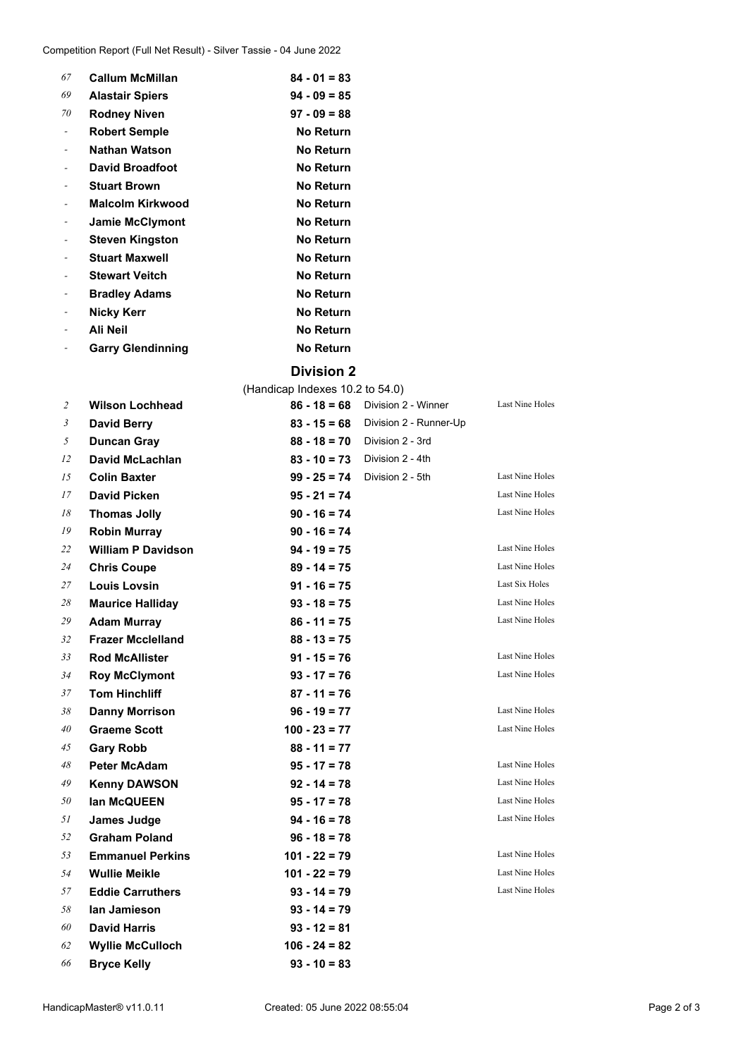| 67 | <b>Callum McMillan</b>   | $84 - 01 = 83$   |
|----|--------------------------|------------------|
| 69 | <b>Alastair Spiers</b>   | $94 - 09 = 85$   |
| 70 | <b>Rodney Niven</b>      | $97 - 09 = 88$   |
|    | <b>Robert Semple</b>     | <b>No Return</b> |
|    | <b>Nathan Watson</b>     | No Return        |
|    | <b>David Broadfoot</b>   | <b>No Return</b> |
|    | <b>Stuart Brown</b>      | No Return        |
|    | Malcolm Kirkwood         | No Return        |
|    | <b>Jamie McClymont</b>   | No Return        |
|    | <b>Steven Kingston</b>   | No Return        |
|    | <b>Stuart Maxwell</b>    | No Return        |
|    | <b>Stewart Veitch</b>    | No Return        |
|    | <b>Bradley Adams</b>     | No Return        |
|    | Nicky Kerr               | No Return        |
|    | Ali Neil                 | <b>No Return</b> |
|    | <b>Garry Glendinning</b> | No Return        |
|    |                          |                  |

#### **Division 2**

(Handicap Indexes 10.2 to 54.0) **Wilson Lochhead 86 - 18 = 68** Division 2 - Winner Last Nine Holes **David Berry 83 - 15 = 68** Division 2 - Runner-Up **Duncan Gray 88 - 18 = 70** Division 2 - 3rd **David McLachlan 83 - 10 = 73** Division 2 - 4th **Colin Baxter 99 - 25 = 74** Division 2 - 5th Last Nine Holes **David Picken 95 - 21 = 74** Last Nine Holes **Thomas Jolly 90 - 16 = 74** Last Nine Holes **Robin Murray 90 - 16 = 74 William P Davidson 94 - 19 = 75** Last Nine Holes **Chris Coupe 89 - 14 = 75** Last Nine Holes **Louis Lovsin 91 - 16 = 75** Last Six Holes **Maurice Halliday 93 - 18 = 75** Last Nine Holes **Adam Murray 86 - 11 = 75** Last Nine Holes **Frazer Mcclelland 88 - 13 = 75 Rod McAllister 91 - 15 = 76** Last Nine Holes **Roy McClymont 93 - 17 = 76** Last Nine Holes **Tom Hinchliff 87 - 11 = 76 Danny Morrison 96 - 19 = 77** Last Nine Holes **Graeme Scott 100 - 23 = 77** Last Nine Holes **Gary Robb 88 - 11 = 77 Peter McAdam 95 - 17 = 78** Last Nine Holes **Kenny DAWSON 92 - 14 = 78** Last Nine Holes **Ian McQUEEN 95 - 17 = 78** Last Nine Holes **James Judge 94 - 16 = 78** Last Nine Holes **Graham Poland 96 - 18 = 78 Emmanuel Perkins 101 - 22 = 79** Last Nine Holes **Wullie Meikle 101 - 22 = 79** Last Nine Holes **Eddie Carruthers 93 - 14 = 79** Last Nine Holes **Ian Jamieson 93 - 14 = 79 David Harris 93 - 12 = 81 Wyllie McCulloch 106 - 24 = 82 Bryce Kelly 93 - 10 = 83**